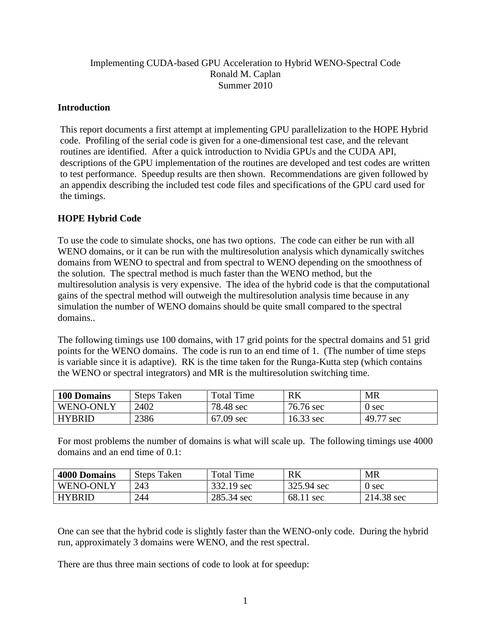### Implementing CUDA-based GPU Acceleration to Hybrid WENO-Spectral Code Ronald M. Caplan Summer 2010

### **Introduction**

This report documents a first attempt at implementing GPU parallelization to the HOPE Hybrid code. Profiling of the serial code is given for a one-dimensional test case, and the relevant routines are identified. After a quick introduction to Nvidia GPUs and the CUDA API, descriptions of the GPU implementation of the routines are developed and test codes are written to test performance. Speedup results are then shown. Recommendations are given followed by an appendix describing the included test code files and specifications of the GPU card used for the timings.

## **HOPE Hybrid Code**

To use the code to simulate shocks, one has two options. The code can either be run with all WENO domains, or it can be run with the multiresolution analysis which dynamically switches domains from WENO to spectral and from spectral to WENO depending on the smoothness of the solution. The spectral method is much faster than the WENO method, but the multiresolution analysis is very expensive. The idea of the hybrid code is that the computational gains of the spectral method will outweigh the multiresolution analysis time because in any simulation the number of WENO domains should be quite small compared to the spectral domains..

The following timings use 100 domains, with 17 grid points for the spectral domains and 51 grid points for the WENO domains. The code is run to an end time of 1. (The number of time steps is variable since it is adaptive). RK is the time taken for the Runga-Kutta step (which contains the WENO or spectral integrators) and MR is the multiresolution switching time.

| 100 Domains      | <b>Steps Taken</b> | <b>Total Time</b> | <b>RK</b> | <b>MR</b>      |
|------------------|--------------------|-------------------|-----------|----------------|
| <b>WENO-ONLY</b> | 2402               | 78.48 sec         | 76.76 sec | 0 sec          |
| <b>HYBRID</b>    | 2386               | $67.09$ sec       | 16.33 sec | 49.77<br>7 sec |

For most problems the number of domains is what will scale up. The following timings use 4000 domains and an end time of 0.1:

| <b>4000 Domains</b> | <b>Steps Taken</b> | <b>Total Time</b> | R <sub>K</sub> | MR         |
|---------------------|--------------------|-------------------|----------------|------------|
| WENO-ONLY           | 243                | 332.19 sec        | 325.94 sec     | 0 sec      |
| HYBRID              | 244                | 285.34 sec        | 68.11 sec      | 214.38 sec |

One can see that the hybrid code is slightly faster than the WENO-only code. During the hybrid run, approximately 3 domains were WENO, and the rest spectral.

There are thus three main sections of code to look at for speedup: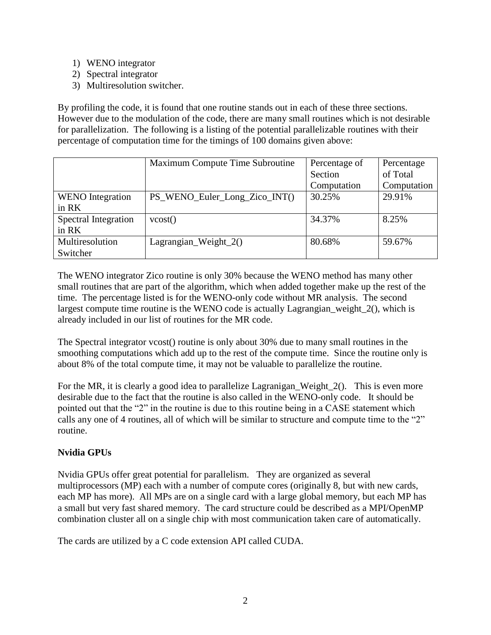- 1) WENO integrator
- 2) Spectral integrator
- 3) Multiresolution switcher.

By profiling the code, it is found that one routine stands out in each of these three sections. However due to the modulation of the code, there are many small routines which is not desirable for parallelization. The following is a listing of the potential parallelizable routines with their percentage of computation time for the timings of 100 domains given above:

|                         | Maximum Compute Time Subroutine | Percentage of | Percentage  |
|-------------------------|---------------------------------|---------------|-------------|
|                         |                                 | Section       | of Total    |
|                         |                                 | Computation   | Computation |
| <b>WENO</b> Integration | PS_WENO_Euler_Long_Zico_INT()   | 30.25%        | 29.91%      |
| $in$ RK                 |                                 |               |             |
| Spectral Integration    | vcost()                         | 34.37%        | 8.25%       |
| $in$ RK                 |                                 |               |             |
| Multiresolution         | Lagrangian_Weight_2()           | 80.68%        | 59.67%      |
| Switcher                |                                 |               |             |

The WENO integrator Zico routine is only 30% because the WENO method has many other small routines that are part of the algorithm, which when added together make up the rest of the time. The percentage listed is for the WENO-only code without MR analysis. The second largest compute time routine is the WENO code is actually Lagrangian\_weight\_2(), which is already included in our list of routines for the MR code.

The Spectral integrator vcost() routine is only about 30% due to many small routines in the smoothing computations which add up to the rest of the compute time. Since the routine only is about 8% of the total compute time, it may not be valuable to parallelize the routine.

For the MR, it is clearly a good idea to parallelize Lagranigan\_Weight\_2(). This is even more desirable due to the fact that the routine is also called in the WENO-only code. It should be pointed out that the "2" in the routine is due to this routine being in a CASE statement which calls any one of 4 routines, all of which will be similar to structure and compute time to the "2" routine.

## **Nvidia GPUs**

Nvidia GPUs offer great potential for parallelism. They are organized as several multiprocessors (MP) each with a number of compute cores (originally 8, but with new cards, each MP has more). All MPs are on a single card with a large global memory, but each MP has a small but very fast shared memory. The card structure could be described as a MPI/OpenMP combination cluster all on a single chip with most communication taken care of automatically.

The cards are utilized by a C code extension API called CUDA.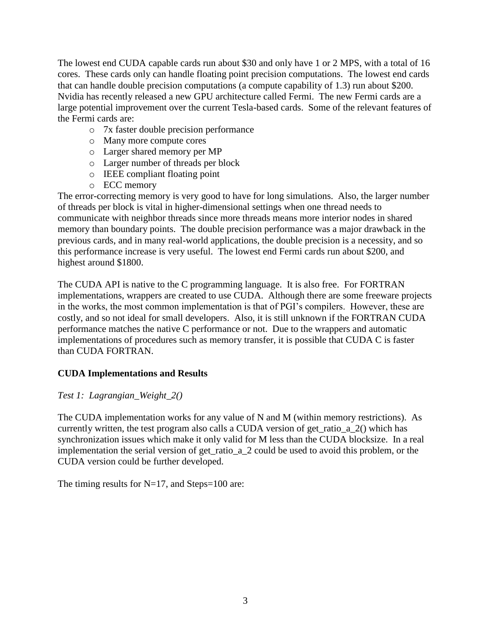The lowest end CUDA capable cards run about \$30 and only have 1 or 2 MPS, with a total of 16 cores. These cards only can handle floating point precision computations. The lowest end cards that can handle double precision computations (a compute capability of 1.3) run about \$200. Nvidia has recently released a new GPU architecture called Fermi. The new Fermi cards are a large potential improvement over the current Tesla-based cards. Some of the relevant features of the Fermi cards are:

- o 7x faster double precision performance
- o Many more compute cores
- o Larger shared memory per MP
- o Larger number of threads per block
- o IEEE compliant floating point
- o ECC memory

The error-correcting memory is very good to have for long simulations. Also, the larger number of threads per block is vital in higher-dimensional settings when one thread needs to communicate with neighbor threads since more threads means more interior nodes in shared memory than boundary points. The double precision performance was a major drawback in the previous cards, and in many real-world applications, the double precision is a necessity, and so this performance increase is very useful. The lowest end Fermi cards run about \$200, and highest around \$1800.

The CUDA API is native to the C programming language. It is also free. For FORTRAN implementations, wrappers are created to use CUDA. Although there are some freeware projects in the works, the most common implementation is that of PGI's compilers. However, these are costly, and so not ideal for small developers. Also, it is still unknown if the FORTRAN CUDA performance matches the native C performance or not. Due to the wrappers and automatic implementations of procedures such as memory transfer, it is possible that CUDA C is faster than CUDA FORTRAN.

## **CUDA Implementations and Results**

*Test 1: Lagrangian\_Weight\_2()*

The CUDA implementation works for any value of N and M (within memory restrictions). As currently written, the test program also calls a CUDA version of get\_ratio\_a\_2() which has synchronization issues which make it only valid for M less than the CUDA blocksize. In a real implementation the serial version of get\_ratio\_a\_2 could be used to avoid this problem, or the CUDA version could be further developed.

The timing results for  $N=17$ , and Steps=100 are: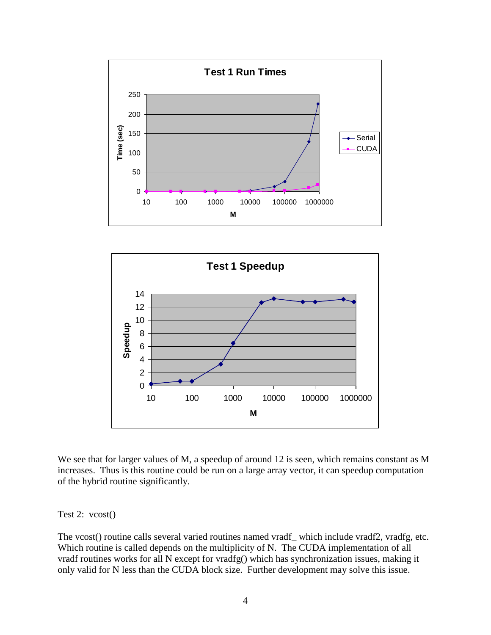



We see that for larger values of M, a speedup of around 12 is seen, which remains constant as M increases. Thus is this routine could be run on a large array vector, it can speedup computation of the hybrid routine significantly.

Test 2: vcost()

The vcost() routine calls several varied routines named vradf\_ which include vradf2, vradfg, etc. Which routine is called depends on the multiplicity of N. The CUDA implementation of all vradf routines works for all N except for vradfg() which has synchronization issues, making it only valid for N less than the CUDA block size. Further development may solve this issue.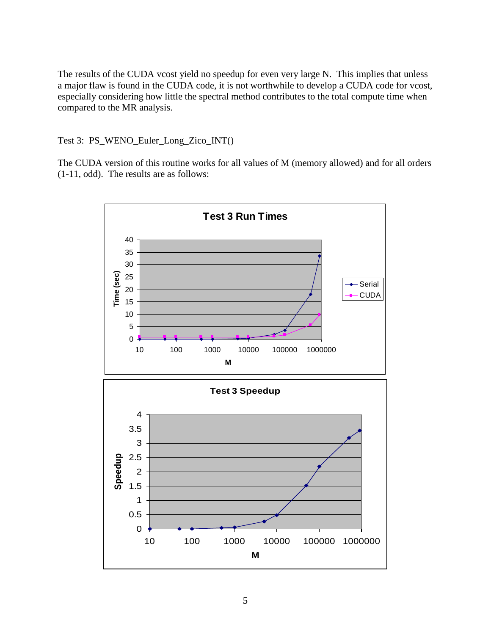The results of the CUDA vcost yield no speedup for even very large N. This implies that unless a major flaw is found in the CUDA code, it is not worthwhile to develop a CUDA code for vcost, especially considering how little the spectral method contributes to the total compute time when compared to the MR analysis.

Test 3: PS\_WENO\_Euler\_Long\_Zico\_INT()

The CUDA version of this routine works for all values of M (memory allowed) and for all orders (1-11, odd). The results are as follows:

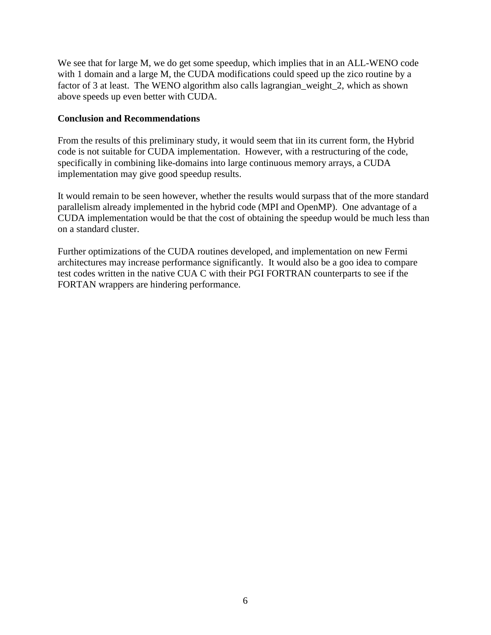We see that for large M, we do get some speedup, which implies that in an ALL-WENO code with 1 domain and a large M, the CUDA modifications could speed up the zico routine by a factor of 3 at least. The WENO algorithm also calls lagrangian\_weight\_2, which as shown above speeds up even better with CUDA.

### **Conclusion and Recommendations**

From the results of this preliminary study, it would seem that iin its current form, the Hybrid code is not suitable for CUDA implementation. However, with a restructuring of the code, specifically in combining like-domains into large continuous memory arrays, a CUDA implementation may give good speedup results.

It would remain to be seen however, whether the results would surpass that of the more standard parallelism already implemented in the hybrid code (MPI and OpenMP). One advantage of a CUDA implementation would be that the cost of obtaining the speedup would be much less than on a standard cluster.

Further optimizations of the CUDA routines developed, and implementation on new Fermi architectures may increase performance significantly. It would also be a goo idea to compare test codes written in the native CUA C with their PGI FORTRAN counterparts to see if the FORTAN wrappers are hindering performance.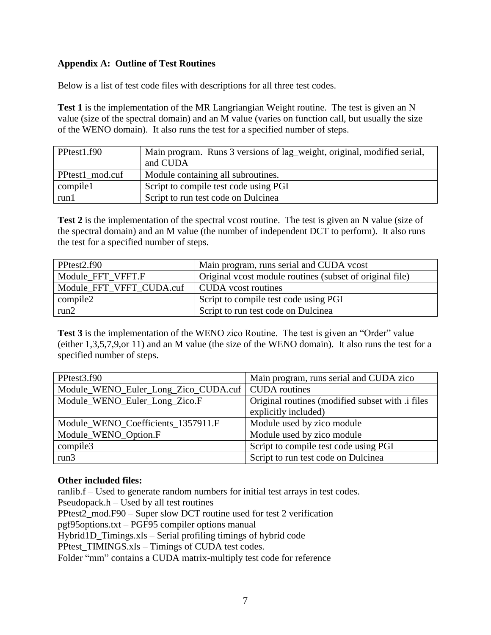## **Appendix A: Outline of Test Routines**

Below is a list of test code files with descriptions for all three test codes.

**Test 1** is the implementation of the MR Langriangian Weight routine. The test is given an N value (size of the spectral domain) and an M value (varies on function call, but usually the size of the WENO domain). It also runs the test for a specified number of steps.

| PPtest1.f90     | Main program. Runs 3 versions of lag_weight, original, modified serial,<br>and CUDA |
|-----------------|-------------------------------------------------------------------------------------|
|                 |                                                                                     |
| PPtest1 mod.cuf | Module containing all subroutines.                                                  |
| compile1        | Script to compile test code using PGI                                               |
| run1            | Script to run test code on Dulcinea                                                 |

Test 2 is the implementation of the spectral vcost routine. The test is given an N value (size of the spectral domain) and an M value (the number of independent DCT to perform). It also runs the test for a specified number of steps.

| PPtest <sub>2</sub> .f90 | Main program, runs serial and CUDA vcost                 |
|--------------------------|----------------------------------------------------------|
| Module FFT VFFT.F        | Original vcost module routines (subset of original file) |
| Module FFT VFFT CUDA.cuf | CUDA vcost routines                                      |
| $\sim$ compile2          | Script to compile test code using PGI                    |
| run2                     | Script to run test code on Dulcinea                      |

**Test 3** is the implementation of the WENO zico Routine. The test is given an "Order" value (either 1,3,5,7,9,or 11) and an M value (the size of the WENO domain). It also runs the test for a specified number of steps.

| PPtest3.f90                                          | Main program, runs serial and CUDA zico                                  |
|------------------------------------------------------|--------------------------------------------------------------------------|
| Module_WENO_Euler_Long_Zico_CUDA.cuf   CUDA routines |                                                                          |
| Module_WENO_Euler_Long_Zico.F                        | Original routines (modified subset with .i files<br>explicitly included) |
| Module_WENO_Coefficients_1357911.F                   | Module used by zico module                                               |
| Module_WENO_Option.F                                 | Module used by zico module                                               |
| compile3                                             | Script to compile test code using PGI                                    |
| run3                                                 | Script to run test code on Dulcinea                                      |

#### **Other included files:**

ranlib.f – Used to generate random numbers for initial test arrays in test codes. Pseudopack.h – Used by all test routines PPtest2\_mod.F90 – Super slow DCT routine used for test 2 verification pgf95options.txt – PGF95 compiler options manual Hybrid1D\_Timings.xls – Serial profiling timings of hybrid code PPtest\_TIMINGS.xls – Timings of CUDA test codes. Folder "mm" contains a CUDA matrix-multiply test code for reference